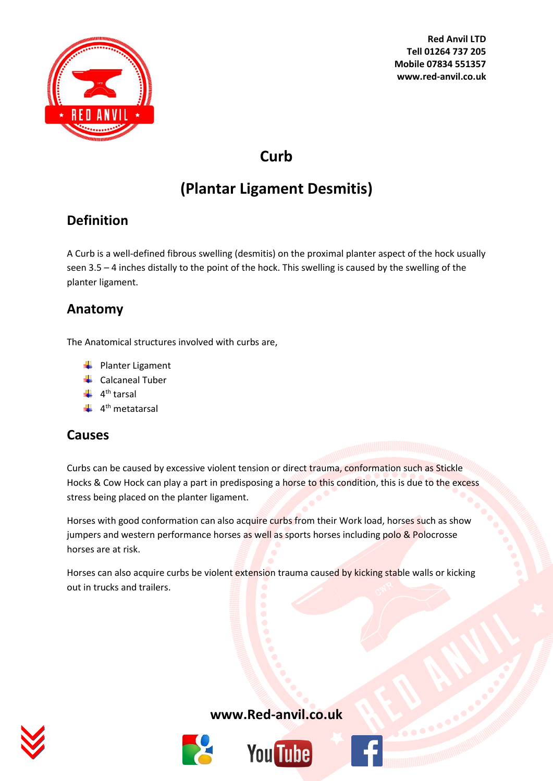

**Red Anvil LTD Tell 01264 737 205 Mobile 07834 551357 www.red-anvil.co.uk**

# **Curb**

# **(Plantar Ligament Desmitis)**

# **Definition**

A Curb is a well-defined fibrous swelling (desmitis) on the proximal planter aspect of the hock usually seen 3.5 – 4 inches distally to the point of the hock. This swelling is caused by the swelling of the planter ligament.

## **Anatomy**

The Anatomical structures involved with curbs are,

- $\leftarrow$  Planter Ligament
- **↓** Calcaneal Tuber
- 4<sup>th</sup> tarsal
- 4<sup>th</sup> metatarsal

#### **Causes**

Curbs can be caused by excessive violent tension or direct trauma, conformation such as Stickle Hocks & Cow Hock can play a part in predisposing a horse to this condition, this is due to the excess stress being placed on the planter ligament.

Horses with good conformation can also acquire curbs from their Work load, horses such as show jumpers and western performance horses as well as sports horses including polo & Polocrosse horses are at risk.

Horses can also acquire curbs be violent extension trauma caused by kicking stable walls or kicking out in trucks and trailers.



#### **[www.Red-anvil.co.uk](http://www.red-anvil.co.uk/)**